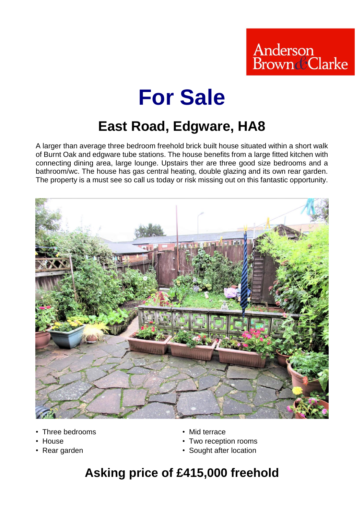

# **For Sale**

# **East Road, Edgware, HA8**

A larger than average three bedroom freehold brick built house situated within a short walk of Burnt Oak and edgware tube stations. The house benefits from a large fitted kitchen with connecting dining area, large lounge. Upstairs ther are three good size bedrooms and a bathroom/wc. The house has gas central heating, double glazing and its own rear garden. The property is a must see so call us today or risk missing out on this fantastic opportunity.



- Three bedrooms Mid terrace
- 
- 
- 
- House Two reception rooms
- Rear garden Sought after location

## **Asking price of £415,000 freehold**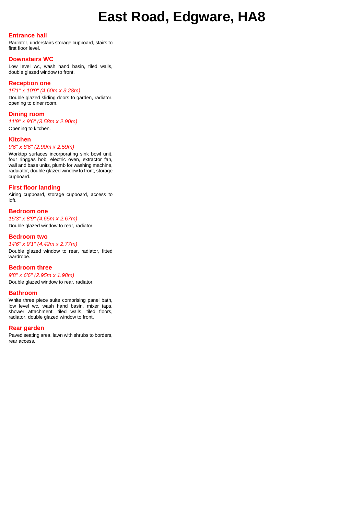## **East Road, Edgware, HA8**

#### **Entrance hall**

Radiator, understairs storage cupboard, stairs to first floor level.

#### **Downstairs WC**

Low level wc, wash hand basin, tiled walls, double glazed window to front.

#### **Reception one**

#### *15'1" x 10'9" (4.60m x 3.28m)*

Double glazed sliding doors to garden, radiator, opening to diner room.

#### **Dining room**

*11'9" x 9'6" (3.58m x 2.90m)* Opening to kitchen.

#### **Kitchen**

*9'6" x 8'6" (2.90m x 2.59m)*

Worktop surfaces incorporating sink bowl unit, four ringgas hob, electric oven, extractor fan, wall and base units, plumb for washing machine, raduiator, double glazed window to front, storage cupboard.

#### **First floor landing**

Airing cupboard, storage cupboard, access to loft.

#### **Bedroom one**

*15'3" x 8'9" (4.65m x 2.67m)* Double glazed window to rear, radiator.

#### **Bedroom two**

*14'6" x 9'1" (4.42m x 2.77m)* Double glazed window to rear, radiator, fitted wardrobe.

#### **Bedroom three**

*9'8" x 6'6" (2.95m x 1.98m)* Double glazed window to rear, radiator.

#### **Bathroom**

White three piece suite comprising panel bath, low level wc, wash hand basin, mixer taps, shower attachment, tiled walls, tiled floors, radiator, double glazed window to front.

#### **Rear garden**

Paved seating area, lawn with shrubs to borders, rear access.